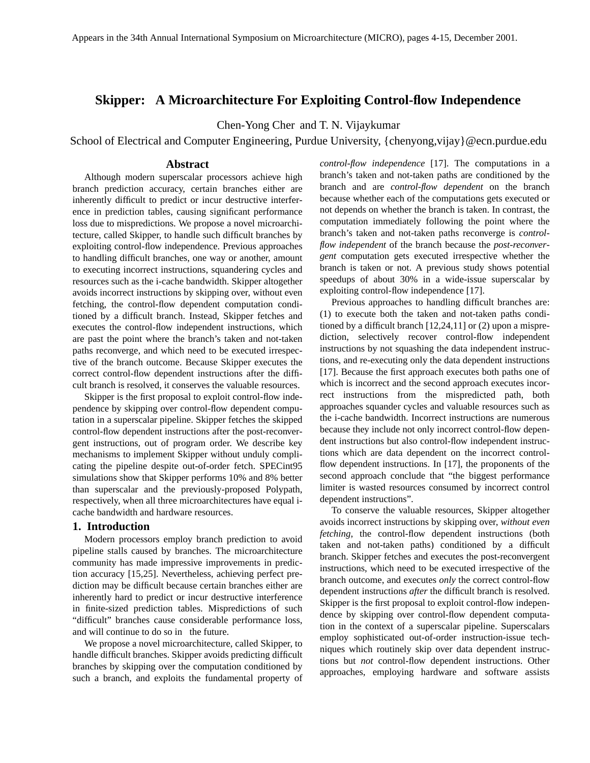# **Skipper: A Microarchitecture For Exploiting Control-flow Independence**

Chen-Yong Cher and T. N. Vijaykumar

School of Electrical and Computer Engineering, Purdue University, {chenyong,vijay}@ecn.purdue.edu

### **Abstract**

Although modern superscalar processors achieve high branch prediction accuracy, certain branches either are inherently difficult to predict or incur destructive interference in prediction tables, causing significant performance loss due to mispredictions. We propose a novel microarchitecture, called Skipper, to handle such difficult branches by exploiting control-flow independence. Previous approaches to handling difficult branches, one way or another, amount to executing incorrect instructions, squandering cycles and resources such as the i-cache bandwidth. Skipper altogether avoids incorrect instructions by skipping over, without even fetching, the control-flow dependent computation conditioned by a difficult branch. Instead, Skipper fetches and executes the control-flow independent instructions, which are past the point where the branch's taken and not-taken paths reconverge, and which need to be executed irrespective of the branch outcome. Because Skipper executes the correct control-flow dependent instructions after the difficult branch is resolved, it conserves the valuable resources.

Skipper is the first proposal to exploit control-flow independence by skipping over control-flow dependent computation in a superscalar pipeline. Skipper fetches the skipped control-flow dependent instructions after the post-reconvergent instructions, out of program order. We describe key mechanisms to implement Skipper without unduly complicating the pipeline despite out-of-order fetch. SPECint95 simulations show that Skipper performs 10% and 8% better than superscalar and the previously-proposed Polypath, respectively, when all three microarchitectures have equal icache bandwidth and hardware resources.

#### <span id="page-0-0"></span>**1. Introduction**

Modern processors employ branch prediction to avoid pipeline stalls caused by branches. The microarchitecture community has made impressive improvements in prediction accuracy [15,25]. Nevertheless, achieving perfect prediction may be difficult because certain branches either are inherently hard to predict or incur destructive interference in finite-sized prediction tables. Mispredictions of such "difficult" branches cause considerable performance loss, and will continue to do so in the future.

We propose a novel microarchitecture, called Skipper, to handle difficult branches. Skipper avoids predicting difficult branches by skipping over the computation conditioned by such a branch, and exploits the fundamental property of

*control-flow independence* [17]. The computations in a branch's taken and not-taken paths are conditioned by the branch and are *control-flow dependent* on the branch because whether each of the computations gets executed or not depends on whether the branch is taken. In contrast, the computation immediately following the point where the branch's taken and not-taken paths reconverge is *controlflow independent* of the branch because the *post-reconvergent* computation gets executed irrespective whether the branch is taken or not. A previous study shows potential speedups of about 30% in a wide-issue superscalar by exploiting control-flow independence [17].

Previous approaches to handling difficult branches are: (1) to execute both the taken and not-taken paths conditioned by a difficult branch [12,24,11] or (2) upon a misprediction, selectively recover control-flow independent instructions by not squashing the data independent instructions, and re-executing only the data dependent instructions [17]. Because the first approach executes both paths one of which is incorrect and the second approach executes incorrect instructions from the mispredicted path, both approaches squander cycles and valuable resources such as the i-cache bandwidth. Incorrect instructions are numerous because they include not only incorrect control-flow dependent instructions but also control-flow independent instructions which are data dependent on the incorrect controlflow dependent instructions. In [17], the proponents of the second approach conclude that "the biggest performance limiter is wasted resources consumed by incorrect control dependent instructions".

To conserve the valuable resources, Skipper altogether avoids incorrect instructions by skipping over, *without even fetching*, the control-flow dependent instructions (both taken and not-taken paths) conditioned by a difficult branch. Skipper fetches and executes the post-reconvergent instructions, which need to be executed irrespective of the branch outcome, and executes *only* the correct control-flow dependent instructions *after* the difficult branch is resolved. Skipper is the first proposal to exploit control-flow independence by skipping over control-flow dependent computation in the context of a superscalar pipeline. Superscalars employ sophisticated out-of-order instruction-issue techniques which routinely skip over data dependent instructions but *not* control-flow dependent instructions. Other approaches, employing hardware and software assists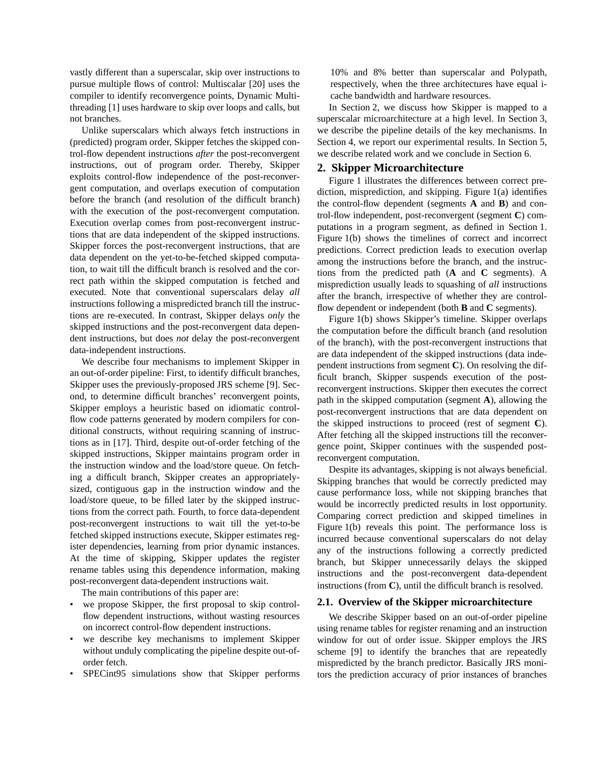vastly different than a superscalar, skip over instructions to pursue multiple flows of control: Multiscalar [20] uses the compiler to identify reconvergence points, Dynamic Multithreading [1] uses hardware to skip over loops and calls, but not branches.

Unlike superscalars which always fetch instructions in (predicted) program order, Skipper fetches the skipped control-flow dependent instructions *after* the post-reconvergent instructions, out of program order. Thereby, Skipper exploits control-flow independence of the post-reconvergent computation, and overlaps execution of computation before the branch (and resolution of the difficult branch) with the execution of the post-reconvergent computation. Execution overlap comes from post-reconvergent instructions that are data independent of the skipped instructions. Skipper forces the post-reconvergent instructions, that are data dependent on the yet-to-be-fetched skipped computation, to wait till the difficult branch is resolved and the correct path within the skipped computation is fetched and executed. Note that conventional superscalars delay *all* instructions following a mispredicted branch till the instructions are re-executed. In contrast, Skipper delays *only* the skipped instructions and the post-reconvergent data dependent instructions, but does *not* delay the post-reconvergent data-independent instructions.

We describe four mechanisms to implement Skipper in an out-of-order pipeline: First, to identify difficult branches, Skipper uses the previously-proposed JRS scheme [9]. Second, to determine difficult branches' reconvergent points, Skipper employs a heuristic based on idiomatic controlflow code patterns generated by modern compilers for conditional constructs, without requiring scanning of instructions as in [17]. Third, despite out-of-order fetching of the skipped instructions, Skipper maintains program order in the instruction window and the load/store queue. On fetching a difficult branch, Skipper creates an appropriatelysized, contiguous gap in the instruction window and the load/store queue, to be filled later by the skipped instructions from the correct path. Fourth, to force data-dependent post-reconvergent instructions to wait till the yet-to-be fetched skipped instructions execute, Skipper estimates register dependencies, learning from prior dynamic instances. At the time of skipping, Skipper updates the register rename tables using this dependence information, making post-reconvergent data-dependent instructions wait.

The main contributions of this paper are:

- we propose Skipper, the first proposal to skip controlflow dependent instructions, without wasting resources on incorrect control-flow dependent instructions.
- we describe key mechanisms to implement Skipper without unduly complicating the pipeline despite out-oforder fetch.
- SPECint95 simulations show that Skipper performs

10% and 8% better than superscalar and Polypath, respectively, when the three architectures have equal icache bandwidth and hardware resources.

In [Section 2,](#page-1-0) we discuss how Skipper is mapped to a superscalar microarchitecture at a high level. In [Section 3](#page-3-0), we describe the pipeline details of the key mechanisms. In [Section 4,](#page-7-0) we report our experimental results. In [Section 5](#page-10-0), we describe related work and we conclude in [Section 6](#page-11-0).

# <span id="page-1-0"></span>**2. Skipper Microarchitecture**

[Figure 1](#page-2-0) illustrates the differences between correct prediction, misprediction, and skipping. [Figure 1](#page-2-0)(a) identifies the control-flow dependent (segments **A** and **B**) and control-flow independent, post-reconvergent (segment **C**) computations in a program segment, as defined in [Section 1](#page-0-0). [Figure 1\(](#page-2-0)b) shows the timelines of correct and incorrect predictions. Correct prediction leads to execution overlap among the instructions before the branch, and the instructions from the predicted path (**A** and **C** segments). A misprediction usually leads to squashing of *all* instructions after the branch, irrespective of whether they are controlflow dependent or independent (both **B** and **C** segments).

[Figure 1](#page-2-0)(b) shows Skipper's timeline. Skipper overlaps the computation before the difficult branch (and resolution of the branch), with the post-reconvergent instructions that are data independent of the skipped instructions (data independent instructions from segment **C**). On resolving the difficult branch, Skipper suspends execution of the postreconvergent instructions. Skipper then executes the correct path in the skipped computation (segment **A**), allowing the post-reconvergent instructions that are data dependent on the skipped instructions to proceed (rest of segment **C**). After fetching all the skipped instructions till the reconvergence point, Skipper continues with the suspended postreconvergent computation.

Despite its advantages, skipping is not always beneficial. Skipping branches that would be correctly predicted may cause performance loss, while not skipping branches that would be incorrectly predicted results in lost opportunity. Comparing correct prediction and skipped timelines in [Figure 1\(](#page-2-0)b) reveals this point. The performance loss is incurred because conventional superscalars do not delay any of the instructions following a correctly predicted branch, but Skipper unnecessarily delays the skipped instructions and the post-reconvergent data-dependent instructions (from **C**), until the difficult branch is resolved.

### <span id="page-1-1"></span>**2.1. Overview of the Skipper microarchitecture**

We describe Skipper based on an out-of-order pipeline using rename tables for register renaming and an instruction window for out of order issue. Skipper employs the JRS scheme [9] to identify the branches that are repeatedly mispredicted by the branch predictor. Basically JRS monitors the prediction accuracy of prior instances of branches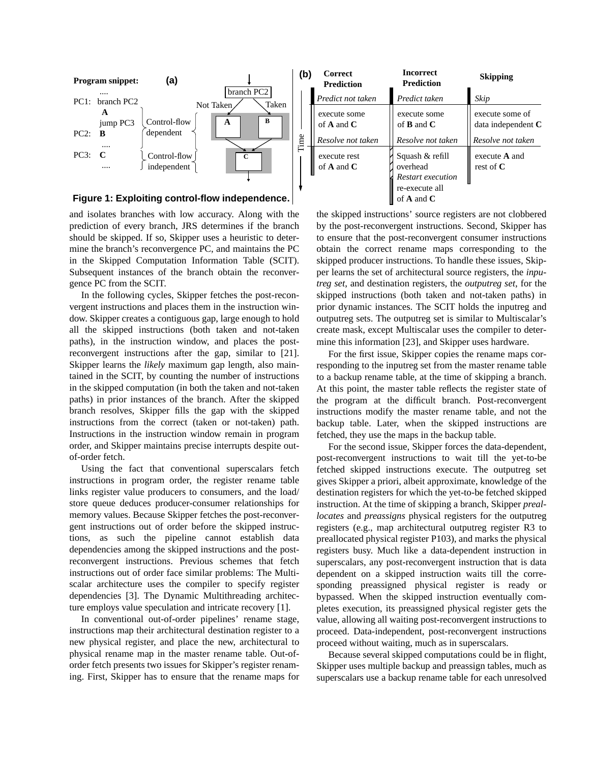

<span id="page-2-0"></span>**Figure 1: Exploiting control-flow independence.**

and isolates branches with low accuracy. Along with the prediction of every branch, JRS determines if the branch should be skipped. If so, Skipper uses a heuristic to determine the branch's reconvergence PC, and maintains the PC in the Skipped Computation Information Table (SCIT). Subsequent instances of the branch obtain the reconvergence PC from the SCIT.

In the following cycles, Skipper fetches the post-reconvergent instructions and places them in the instruction window. Skipper creates a contiguous gap, large enough to hold all the skipped instructions (both taken and not-taken paths), in the instruction window, and places the postreconvergent instructions after the gap, similar to [21]. Skipper learns the *likely* maximum gap length, also maintained in the SCIT, by counting the number of instructions in the skipped computation (in both the taken and not-taken paths) in prior instances of the branch. After the skipped branch resolves, Skipper fills the gap with the skipped instructions from the correct (taken or not-taken) path. Instructions in the instruction window remain in program order, and Skipper maintains precise interrupts despite outof-order fetch.

Using the fact that conventional superscalars fetch instructions in program order, the register rename table links register value producers to consumers, and the load/ store queue deduces producer-consumer relationships for memory values. Because Skipper fetches the post-reconvergent instructions out of order before the skipped instructions, as such the pipeline cannot establish data dependencies among the skipped instructions and the postreconvergent instructions. Previous schemes that fetch instructions out of order face similar problems: The Multiscalar architecture uses the compiler to specify register dependencies [3]. The Dynamic Multithreading architecture employs value speculation and intricate recovery [1].

In conventional out-of-order pipelines' rename stage, instructions map their architectural destination register to a new physical register, and place the new, architectural to physical rename map in the master rename table. Out-oforder fetch presents two issues for Skipper's register renaming. First, Skipper has to ensure that the rename maps for

| (b)                        | Correct<br><b>Prediction</b>   | <b>Incorrect</b><br><b>Prediction</b>                      | <b>Skipping</b>                           |  |  |  |
|----------------------------|--------------------------------|------------------------------------------------------------|-------------------------------------------|--|--|--|
|                            | Predict not taken              | Predict taken                                              | Skip                                      |  |  |  |
|                            | execute some<br>of $A$ and $C$ | execute some<br>of $\bf{B}$ and $\bf{C}$                   | execute some of<br>$data$ independent $C$ |  |  |  |
| $\mathop{\rm Im}\nolimits$ | Resolve not taken              | Resolve not taken                                          | Resolve not taken                         |  |  |  |
|                            | execute rest<br>of $A$ and $C$ | Squash $\&$ refill<br>overhead<br><b>Restart</b> execution | execute A and<br>rest of $C$              |  |  |  |
|                            |                                | re-execute all<br>of $A$ and $C$                           |                                           |  |  |  |
|                            |                                |                                                            |                                           |  |  |  |

the skipped instructions' source registers are not clobbered by the post-reconvergent instructions. Second, Skipper has to ensure that the post-reconvergent consumer instructions obtain the correct rename maps corresponding to the skipped producer instructions. To handle these issues, Skipper learns the set of architectural source registers, the *inputreg set*, and destination registers, the *outputreg set*, for the skipped instructions (both taken and not-taken paths) in prior dynamic instances. The SCIT holds the inputreg and outputreg sets. The outputreg set is similar to Multiscalar's create mask, except Multiscalar uses the compiler to determine this information [23], and Skipper uses hardware.

For the first issue, Skipper copies the rename maps corresponding to the inputreg set from the master rename table to a backup rename table, at the time of skipping a branch. At this point, the master table reflects the register state of the program at the difficult branch. Post-reconvergent instructions modify the master rename table, and not the backup table. Later, when the skipped instructions are fetched, they use the maps in the backup table.

For the second issue, Skipper forces the data-dependent, post-reconvergent instructions to wait till the yet-to-be fetched skipped instructions execute. The outputreg set gives Skipper a priori, albeit approximate, knowledge of the destination registers for which the yet-to-be fetched skipped instruction. At the time of skipping a branch, Skipper *preallocates* and *preassigns* physical registers for the outputreg registers (e.g., map architectural outputreg register R3 to preallocated physical register P103), and marks the physical registers busy. Much like a data-dependent instruction in superscalars, any post-reconvergent instruction that is data dependent on a skipped instruction waits till the corresponding preassigned physical register is ready or bypassed. When the skipped instruction eventually completes execution, its preassigned physical register gets the value, allowing all waiting post-reconvergent instructions to proceed. Data-independent, post-reconvergent instructions proceed without waiting, much as in superscalars.

Because several skipped computations could be in flight, Skipper uses multiple backup and preassign tables, much as superscalars use a backup rename table for each unresolved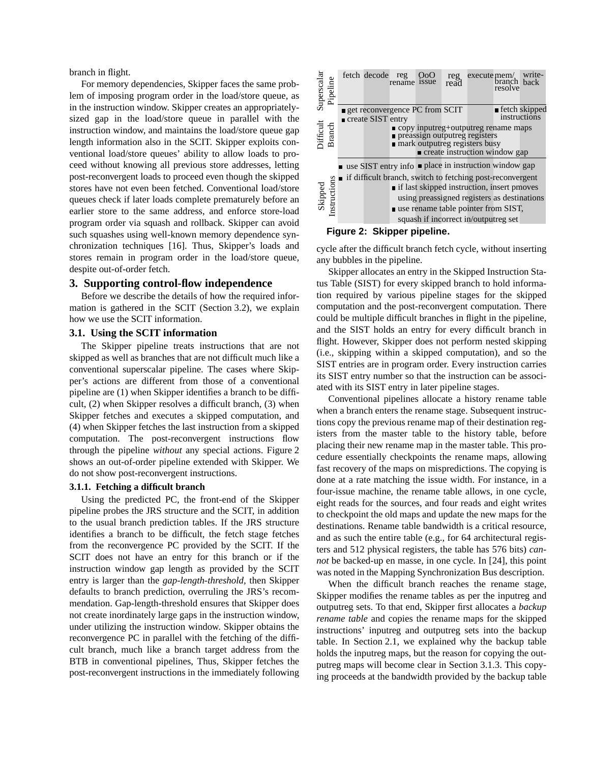branch in flight.

For memory dependencies, Skipper faces the same problem of imposing program order in the load/store queue, as in the instruction window. Skipper creates an appropriatelysized gap in the load/store queue in parallel with the instruction window, and maintains the load/store queue gap length information also in the SCIT. Skipper exploits conventional load/store queues' ability to allow loads to proceed without knowing all previous store addresses, letting post-reconvergent loads to proceed even though the skipped stores have not even been fetched. Conventional load/store queues check if later loads complete prematurely before an earlier store to the same address, and enforce store-load program order via squash and rollback. Skipper can avoid such squashes using well-known memory dependence synchronization techniques [16]. Thus, Skipper's loads and stores remain in program order in the load/store queue, despite out-of-order fetch.

#### <span id="page-3-0"></span>**3. Supporting control-flow independence**

Before we describe the details of how the required information is gathered in the SCIT ([Section 3.2\)](#page-5-0), we explain how we use the SCIT information.

### **3.1. Using the SCIT information**

The Skipper pipeline treats instructions that are not skipped as well as branches that are not difficult much like a conventional superscalar pipeline. The cases where Skipper's actions are different from those of a conventional pipeline are (1) when Skipper identifies a branch to be difficult, (2) when Skipper resolves a difficult branch, (3) when Skipper fetches and executes a skipped computation, and (4) when Skipper fetches the last instruction from a skipped computation. The post-reconvergent instructions flow through the pipeline *without* any special actions. [Figure 2](#page-3-1) shows an out-of-order pipeline extended with Skipper. We do not show post-reconvergent instructions.

### <span id="page-3-2"></span>**3.1.1. Fetching a difficult branch**

Using the predicted PC, the front-end of the Skipper pipeline probes the JRS structure and the SCIT, in addition to the usual branch prediction tables. If the JRS structure identifies a branch to be difficult, the fetch stage fetches from the reconvergence PC provided by the SCIT. If the SCIT does not have an entry for this branch or if the instruction window gap length as provided by the SCIT entry is larger than the *gap-length-threshold,* then Skipper defaults to branch prediction, overruling the JRS's recommendation. Gap-length-threshold ensures that Skipper does not create inordinately large gaps in the instruction window, under utilizing the instruction window. Skipper obtains the reconvergence PC in parallel with the fetching of the difficult branch, much like a branch target address from the BTB in conventional pipelines, Thus, Skipper fetches the post-reconvergent instructions in the immediately following



<span id="page-3-1"></span>**Figure 2: Skipper pipeline.**

cycle after the difficult branch fetch cycle, without inserting any bubbles in the pipeline.

Skipper allocates an entry in the Skipped Instruction Status Table (SIST) for every skipped branch to hold information required by various pipeline stages for the skipped computation and the post-reconvergent computation. There could be multiple difficult branches in flight in the pipeline, and the SIST holds an entry for every difficult branch in flight. However, Skipper does not perform nested skipping (i.e., skipping within a skipped computation), and so the SIST entries are in program order. Every instruction carries its SIST entry number so that the instruction can be associated with its SIST entry in later pipeline stages.

Conventional pipelines allocate a history rename table when a branch enters the rename stage. Subsequent instructions copy the previous rename map of their destination registers from the master table to the history table, before placing their new rename map in the master table. This procedure essentially checkpoints the rename maps, allowing fast recovery of the maps on mispredictions. The copying is done at a rate matching the issue width. For instance, in a four-issue machine, the rename table allows, in one cycle, eight reads for the sources, and four reads and eight writes to checkpoint the old maps and update the new maps for the destinations. Rename table bandwidth is a critical resource, and as such the entire table (e.g., for 64 architectural registers and 512 physical registers, the table has 576 bits) *cannot* be backed-up en masse, in one cycle. In [24], this point was noted in the Mapping Synchronization Bus description.

When the difficult branch reaches the rename stage, Skipper modifies the rename tables as per the inputreg and outputreg sets. To that end, Skipper first allocates a *backup rename table* and copies the rename maps for the skipped instructions' inputreg and outputreg sets into the backup table. In [Section 2.1](#page-1-1), we explained why the backup table holds the inputreg maps, but the reason for copying the outputreg maps will become clear in [Section 3.1.3.](#page-4-0) This copying proceeds at the bandwidth provided by the backup table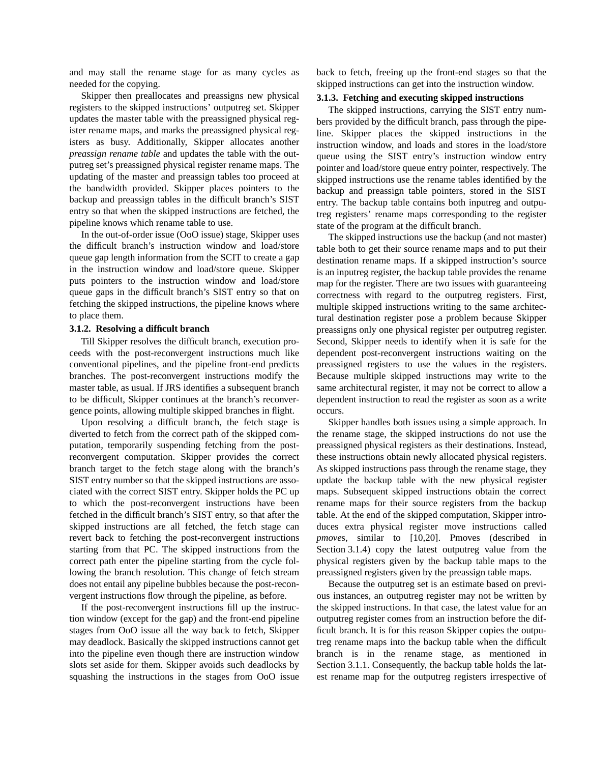and may stall the rename stage for as many cycles as needed for the copying.

Skipper then preallocates and preassigns new physical registers to the skipped instructions' outputreg set. Skipper updates the master table with the preassigned physical register rename maps, and marks the preassigned physical registers as busy. Additionally, Skipper allocates another *preassign rename table* and updates the table with the outputreg set's preassigned physical register rename maps. The updating of the master and preassign tables too proceed at the bandwidth provided. Skipper places pointers to the backup and preassign tables in the difficult branch's SIST entry so that when the skipped instructions are fetched, the pipeline knows which rename table to use.

In the out-of-order issue (OoO issue) stage, Skipper uses the difficult branch's instruction window and load/store queue gap length information from the SCIT to create a gap in the instruction window and load/store queue. Skipper puts pointers to the instruction window and load/store queue gaps in the difficult branch's SIST entry so that on fetching the skipped instructions, the pipeline knows where to place them.

#### **3.1.2. Resolving a difficult branch**

Till Skipper resolves the difficult branch, execution proceeds with the post-reconvergent instructions much like conventional pipelines, and the pipeline front-end predicts branches. The post-reconvergent instructions modify the master table, as usual. If JRS identifies a subsequent branch to be difficult, Skipper continues at the branch's reconvergence points, allowing multiple skipped branches in flight.

Upon resolving a difficult branch, the fetch stage is diverted to fetch from the correct path of the skipped computation, temporarily suspending fetching from the postreconvergent computation. Skipper provides the correct branch target to the fetch stage along with the branch's SIST entry number so that the skipped instructions are associated with the correct SIST entry. Skipper holds the PC up to which the post-reconvergent instructions have been fetched in the difficult branch's SIST entry, so that after the skipped instructions are all fetched, the fetch stage can revert back to fetching the post-reconvergent instructions starting from that PC. The skipped instructions from the correct path enter the pipeline starting from the cycle following the branch resolution. This change of fetch stream does not entail any pipeline bubbles because the post-reconvergent instructions flow through the pipeline, as before.

If the post-reconvergent instructions fill up the instruction window (except for the gap) and the front-end pipeline stages from OoO issue all the way back to fetch, Skipper may deadlock. Basically the skipped instructions cannot get into the pipeline even though there are instruction window slots set aside for them. Skipper avoids such deadlocks by squashing the instructions in the stages from OoO issue

back to fetch, freeing up the front-end stages so that the skipped instructions can get into the instruction window.

#### <span id="page-4-0"></span>**3.1.3. Fetching and executing skipped instructions**

The skipped instructions, carrying the SIST entry numbers provided by the difficult branch, pass through the pipeline. Skipper places the skipped instructions in the instruction window, and loads and stores in the load/store queue using the SIST entry's instruction window entry pointer and load/store queue entry pointer, respectively. The skipped instructions use the rename tables identified by the backup and preassign table pointers, stored in the SIST entry. The backup table contains both inputreg and outputreg registers' rename maps corresponding to the register state of the program at the difficult branch.

The skipped instructions use the backup (and not master) table both to get their source rename maps and to put their destination rename maps. If a skipped instruction's source is an inputreg register, the backup table provides the rename map for the register. There are two issues with guaranteeing correctness with regard to the outputreg registers. First, multiple skipped instructions writing to the same architectural destination register pose a problem because Skipper preassigns only one physical register per outputreg register. Second, Skipper needs to identify when it is safe for the dependent post-reconvergent instructions waiting on the preassigned registers to use the values in the registers. Because multiple skipped instructions may write to the same architectural register, it may not be correct to allow a dependent instruction to read the register as soon as a write occurs.

Skipper handles both issues using a simple approach. In the rename stage, the skipped instructions do not use the preassigned physical registers as their destinations. Instead, these instructions obtain newly allocated physical registers. As skipped instructions pass through the rename stage, they update the backup table with the new physical register maps. Subsequent skipped instructions obtain the correct rename maps for their source registers from the backup table. At the end of the skipped computation, Skipper introduces extra physical register move instructions called *pmove*s, similar to [10,20]. Pmoves (described in Section 3.1.4) copy the latest outputreg value from the physical registers given by the backup table maps to the preassigned registers given by the preassign table maps.

Because the outputreg set is an estimate based on previous instances, an outputreg register may not be written by the skipped instructions. In that case, the latest value for an outputreg register comes from an instruction before the difficult branch. It is for this reason Skipper copies the outputreg rename maps into the backup table when the difficult branch is in the rename stage, as mentioned in [Section 3.1.1](#page-3-2). Consequently, the backup table holds the latest rename map for the outputreg registers irrespective of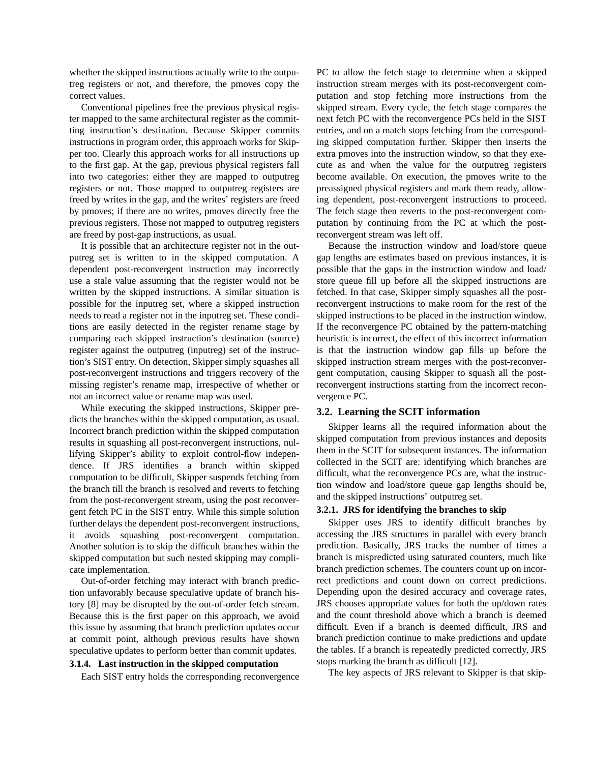whether the skipped instructions actually write to the outputreg registers or not, and therefore, the pmoves copy the correct values.

Conventional pipelines free the previous physical register mapped to the same architectural register as the committing instruction's destination. Because Skipper commits instructions in program order, this approach works for Skipper too. Clearly this approach works for all instructions up to the first gap. At the gap, previous physical registers fall into two categories: either they are mapped to outputreg registers or not. Those mapped to outputreg registers are freed by writes in the gap, and the writes' registers are freed by pmoves; if there are no writes, pmoves directly free the previous registers. Those not mapped to outputreg registers are freed by post-gap instructions, as usual.

It is possible that an architecture register not in the outputreg set is written to in the skipped computation. A dependent post-reconvergent instruction may incorrectly use a stale value assuming that the register would not be written by the skipped instructions. A similar situation is possible for the inputreg set, where a skipped instruction needs to read a register not in the inputreg set. These conditions are easily detected in the register rename stage by comparing each skipped instruction's destination (source) register against the outputreg (inputreg) set of the instruction's SIST entry. On detection, Skipper simply squashes all post-reconvergent instructions and triggers recovery of the missing register's rename map, irrespective of whether or not an incorrect value or rename map was used.

While executing the skipped instructions, Skipper predicts the branches within the skipped computation, as usual. Incorrect branch prediction within the skipped computation results in squashing all post-reconvergent instructions, nullifying Skipper's ability to exploit control-flow independence. If JRS identifies a branch within skipped computation to be difficult, Skipper suspends fetching from the branch till the branch is resolved and reverts to fetching from the post-reconvergent stream, using the post reconvergent fetch PC in the SIST entry. While this simple solution further delays the dependent post-reconvergent instructions, it avoids squashing post-reconvergent computation. Another solution is to skip the difficult branches within the skipped computation but such nested skipping may complicate implementation.

Out-of-order fetching may interact with branch prediction unfavorably because speculative update of branch history [8] may be disrupted by the out-of-order fetch stream. Because this is the first paper on this approach, we avoid this issue by assuming that branch prediction updates occur at commit point, although previous results have shown speculative updates to perform better than commit updates.

### **3.1.4. Last instruction in the skipped computation**

Each SIST entry holds the corresponding reconvergence

PC to allow the fetch stage to determine when a skipped instruction stream merges with its post-reconvergent computation and stop fetching more instructions from the skipped stream. Every cycle, the fetch stage compares the next fetch PC with the reconvergence PCs held in the SIST entries, and on a match stops fetching from the corresponding skipped computation further. Skipper then inserts the extra pmoves into the instruction window, so that they execute as and when the value for the outputreg registers become available. On execution, the pmoves write to the preassigned physical registers and mark them ready, allowing dependent, post-reconvergent instructions to proceed. The fetch stage then reverts to the post-reconvergent computation by continuing from the PC at which the postreconvergent stream was left off.

Because the instruction window and load/store queue gap lengths are estimates based on previous instances, it is possible that the gaps in the instruction window and load/ store queue fill up before all the skipped instructions are fetched. In that case, Skipper simply squashes all the postreconvergent instructions to make room for the rest of the skipped instructions to be placed in the instruction window. If the reconvergence PC obtained by the pattern-matching heuristic is incorrect, the effect of this incorrect information is that the instruction window gap fills up before the skipped instruction stream merges with the post-reconvergent computation, causing Skipper to squash all the postreconvergent instructions starting from the incorrect reconvergence PC.

### <span id="page-5-0"></span>**3.2. Learning the SCIT information**

Skipper learns all the required information about the skipped computation from previous instances and deposits them in the SCIT for subsequent instances. The information collected in the SCIT are: identifying which branches are difficult, what the reconvergence PCs are, what the instruction window and load/store queue gap lengths should be, and the skipped instructions' outputreg set.

### **3.2.1. JRS for identifying the branches to skip**

Skipper uses JRS to identify difficult branches by accessing the JRS structures in parallel with every branch prediction. Basically, JRS tracks the number of times a branch is mispredicted using saturated counters, much like branch prediction schemes. The counters count up on incorrect predictions and count down on correct predictions. Depending upon the desired accuracy and coverage rates, JRS chooses appropriate values for both the up/down rates and the count threshold above which a branch is deemed difficult. Even if a branch is deemed difficult, JRS and branch prediction continue to make predictions and update the tables. If a branch is repeatedly predicted correctly, JRS stops marking the branch as difficult [12].

The key aspects of JRS relevant to Skipper is that skip-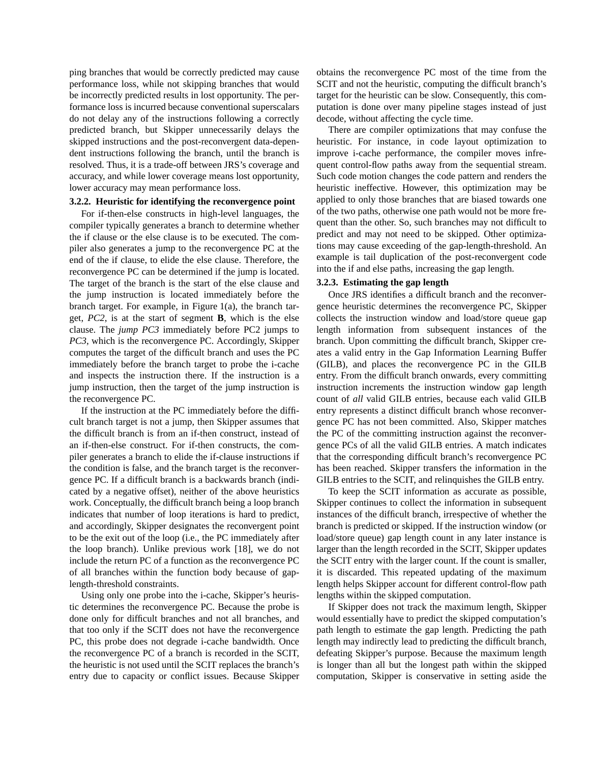ping branches that would be correctly predicted may cause performance loss, while not skipping branches that would be incorrectly predicted results in lost opportunity. The performance loss is incurred because conventional superscalars do not delay any of the instructions following a correctly predicted branch, but Skipper unnecessarily delays the skipped instructions and the post-reconvergent data-dependent instructions following the branch, until the branch is resolved. Thus, it is a trade-off between JRS's coverage and accuracy, and while lower coverage means lost opportunity, lower accuracy may mean performance loss.

### **3.2.2. Heuristic for identifying the reconvergence point**

For if-then-else constructs in high-level languages, the compiler typically generates a branch to determine whether the if clause or the else clause is to be executed. The compiler also generates a jump to the reconvergence PC at the end of the if clause, to elide the else clause. Therefore, the reconvergence PC can be determined if the jump is located. The target of the branch is the start of the else clause and the jump instruction is located immediately before the branch target. For example, in [Figure 1](#page-2-0)(a), the branch target, *PC2*, is at the start of segment **B**, which is the else clause. The *jump PC3* immediately before PC2 jumps to *PC3*, which is the reconvergence PC. Accordingly, Skipper computes the target of the difficult branch and uses the PC immediately before the branch target to probe the i-cache and inspects the instruction there. If the instruction is a jump instruction, then the target of the jump instruction is the reconvergence PC.

If the instruction at the PC immediately before the difficult branch target is not a jump, then Skipper assumes that the difficult branch is from an if-then construct, instead of an if-then-else construct. For if-then constructs, the compiler generates a branch to elide the if-clause instructions if the condition is false, and the branch target is the reconvergence PC. If a difficult branch is a backwards branch (indicated by a negative offset), neither of the above heuristics work. Conceptually, the difficult branch being a loop branch indicates that number of loop iterations is hard to predict, and accordingly, Skipper designates the reconvergent point to be the exit out of the loop (i.e., the PC immediately after the loop branch). Unlike previous work [18], we do not include the return PC of a function as the reconvergence PC of all branches within the function body because of gaplength-threshold constraints.

Using only one probe into the i-cache, Skipper's heuristic determines the reconvergence PC. Because the probe is done only for difficult branches and not all branches, and that too only if the SCIT does not have the reconvergence PC, this probe does not degrade i-cache bandwidth. Once the reconvergence PC of a branch is recorded in the SCIT, the heuristic is not used until the SCIT replaces the branch's entry due to capacity or conflict issues. Because Skipper

obtains the reconvergence PC most of the time from the SCIT and not the heuristic, computing the difficult branch's target for the heuristic can be slow. Consequently, this computation is done over many pipeline stages instead of just decode, without affecting the cycle time.

There are compiler optimizations that may confuse the heuristic. For instance, in code layout optimization to improve i-cache performance, the compiler moves infrequent control-flow paths away from the sequential stream. Such code motion changes the code pattern and renders the heuristic ineffective. However, this optimization may be applied to only those branches that are biased towards one of the two paths, otherwise one path would not be more frequent than the other. So, such branches may not difficult to predict and may not need to be skipped. Other optimizations may cause exceeding of the gap-length-threshold. An example is tail duplication of the post-reconvergent code into the if and else paths, increasing the gap length.

#### **3.2.3. Estimating the gap length**

Once JRS identifies a difficult branch and the reconvergence heuristic determines the reconvergence PC, Skipper collects the instruction window and load/store queue gap length information from subsequent instances of the branch. Upon committing the difficult branch, Skipper creates a valid entry in the Gap Information Learning Buffer (GILB), and places the reconvergence PC in the GILB entry. From the difficult branch onwards, every committing instruction increments the instruction window gap length count of *all* valid GILB entries, because each valid GILB entry represents a distinct difficult branch whose reconvergence PC has not been committed. Also, Skipper matches the PC of the committing instruction against the reconvergence PCs of all the valid GILB entries. A match indicates that the corresponding difficult branch's reconvergence PC has been reached. Skipper transfers the information in the GILB entries to the SCIT, and relinquishes the GILB entry.

To keep the SCIT information as accurate as possible, Skipper continues to collect the information in subsequent instances of the difficult branch, irrespective of whether the branch is predicted or skipped. If the instruction window (or load/store queue) gap length count in any later instance is larger than the length recorded in the SCIT, Skipper updates the SCIT entry with the larger count. If the count is smaller, it is discarded. This repeated updating of the maximum length helps Skipper account for different control-flow path lengths within the skipped computation.

If Skipper does not track the maximum length, Skipper would essentially have to predict the skipped computation's path length to estimate the gap length. Predicting the path length may indirectly lead to predicting the difficult branch, defeating Skipper's purpose. Because the maximum length is longer than all but the longest path within the skipped computation, Skipper is conservative in setting aside the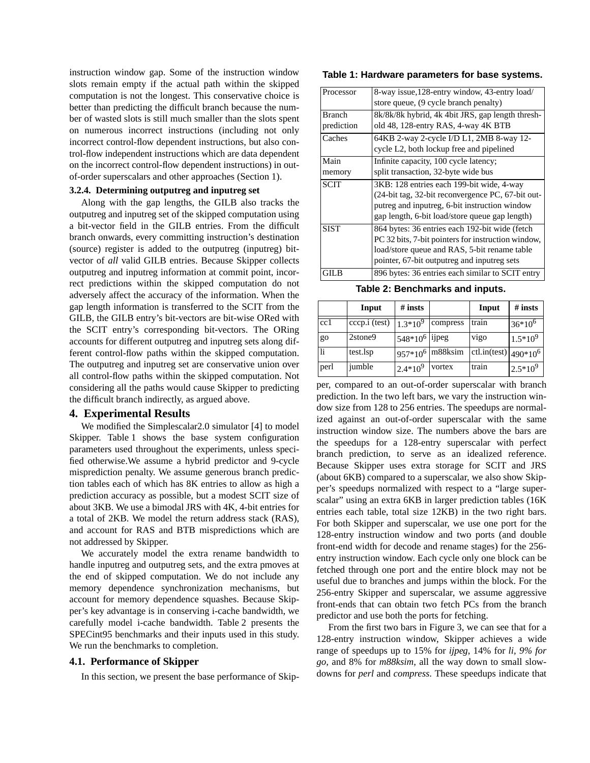instruction window gap. Some of the instruction window slots remain empty if the actual path within the skipped computation is not the longest. This conservative choice is better than predicting the difficult branch because the number of wasted slots is still much smaller than the slots spent on numerous incorrect instructions (including not only incorrect control-flow dependent instructions, but also control-flow independent instructions which are data dependent on the incorrect control-flow dependent instructions) in outof-order superscalars and other approaches [\(Section 1\)](#page-0-0).

### **3.2.4. Determining outputreg and inputreg set**

Along with the gap lengths, the GILB also tracks the outputreg and inputreg set of the skipped computation using a bit-vector field in the GILB entries. From the difficult branch onwards, every committing instruction's destination (source) register is added to the outputreg (inputreg) bitvector of *all* valid GILB entries. Because Skipper collects outputreg and inputreg information at commit point, incorrect predictions within the skipped computation do not adversely affect the accuracy of the information. When the gap length information is transferred to the SCIT from the GILB, the GILB entry's bit-vectors are bit-wise ORed with the SCIT entry's corresponding bit-vectors. The ORing accounts for different outputreg and inputreg sets along different control-flow paths within the skipped computation. The outputreg and inputreg set are conservative union over all control-flow paths within the skipped computation. Not considering all the paths would cause Skipper to predicting the difficult branch indirectly, as argued above.

#### <span id="page-7-0"></span>**4. Experimental Results**

We modified the Simplescalar2.0 simulator [4] to model Skipper. [Table 1](#page-7-1) shows the base system configuration parameters used throughout the experiments, unless specified otherwise.We assume a hybrid predictor and 9-cycle misprediction penalty. We assume generous branch prediction tables each of which has 8K entries to allow as high a prediction accuracy as possible, but a modest SCIT size of about 3KB. We use a bimodal JRS with 4K, 4-bit entries for a total of 2KB. We model the return address stack (RAS), and account for RAS and BTB mispredictions which are not addressed by Skipper.

We accurately model the extra rename bandwidth to handle inputreg and outputreg sets, and the extra pmoves at the end of skipped computation. We do not include any memory dependence synchronization mechanisms, but account for memory dependence squashes. Because Skipper's key advantage is in conserving i-cache bandwidth, we carefully model i-cache bandwidth. [Table 2](#page-7-2) presents the SPECint95 benchmarks and their inputs used in this study. We run the benchmarks to completion.

### **4.1. Performance of Skipper**

In this section, we present the base performance of Skip-

<span id="page-7-1"></span>**Table 1: Hardware parameters for base systems.**

| 8-way issue, 128-entry window, 43-entry load/      |  |  |  |  |  |
|----------------------------------------------------|--|--|--|--|--|
| store queue, (9 cycle branch penalty)              |  |  |  |  |  |
| 8k/8k/8k hybrid, 4k 4bit JRS, gap length thresh-   |  |  |  |  |  |
| old 48, 128-entry RAS, 4-way 4K BTB                |  |  |  |  |  |
| 64KB 2-way 2-cycle I/D L1, 2MB 8-way 12-           |  |  |  |  |  |
| cycle L2, both lockup free and pipelined           |  |  |  |  |  |
| Infinite capacity, 100 cycle latency;              |  |  |  |  |  |
| split transaction, 32-byte wide bus                |  |  |  |  |  |
| 3KB: 128 entries each 199-bit wide, 4-way          |  |  |  |  |  |
| (24-bit tag, 32-bit reconvergence PC, 67-bit out-  |  |  |  |  |  |
| putreg and inputreg, 6-bit instruction window      |  |  |  |  |  |
| gap length, 6-bit load/store queue gap length)     |  |  |  |  |  |
| 864 bytes: 36 entries each 192-bit wide (fetch     |  |  |  |  |  |
| PC 32 bits, 7-bit pointers for instruction window, |  |  |  |  |  |
| load/store queue and RAS, 5-bit rename table       |  |  |  |  |  |
| pointer, 67-bit outputreg and inputreg sets        |  |  |  |  |  |
| 896 bytes: 36 entries each similar to SCIT entry   |  |  |  |  |  |
|                                                    |  |  |  |  |  |

**Table 2: Benchmarks and inputs.**

<span id="page-7-2"></span>

|      | Input                             | # insts          |                      | Input                    | $#$ insts   |
|------|-----------------------------------|------------------|----------------------|--------------------------|-------------|
| cc1  | $\overline{\text{ccep.i}}$ (test) | $1.3*10^9$       | compress             | train                    | $36*10^6$   |
| go   | 2stone <sub>9</sub>               | $548*10^6$ ijpeg |                      | vigo                     | $1.5*10^9$  |
| li   | test.lsp                          |                  | $ 957*10^6 $ m88ksim | ctl.in(test) $ 490*10^6$ |             |
| perl | jumble                            | $12.4*10^9$      | vortex               | train                    | $12.5*10^9$ |

per, compared to an out-of-order superscalar with branch prediction. In the two left bars, we vary the instruction window size from 128 to 256 entries. The speedups are normalized against an out-of-order superscalar with the same instruction window size. The numbers above the bars are the speedups for a 128-entry superscalar with perfect branch prediction, to serve as an idealized reference. Because Skipper uses extra storage for SCIT and JRS (about 6KB) compared to a superscalar, we also show Skipper's speedups normalized with respect to a "large superscalar" using an extra 6KB in larger prediction tables (16K) entries each table, total size 12KB) in the two right bars. For both Skipper and superscalar, we use one port for the 128-entry instruction window and two ports (and double front-end width for decode and rename stages) for the 256 entry instruction window. Each cycle only one block can be fetched through one port and the entire block may not be useful due to branches and jumps within the block. For the 256-entry Skipper and superscalar, we assume aggressive front-ends that can obtain two fetch PCs from the branch predictor and use both the ports for fetching.

From the first two bars in [Figure 3](#page-8-0), we can see that for a 128-entry instruction window, Skipper achieves a wide range of speedups up to 15% for *ijpeg*, 14% for *li, 9% for go,* and 8% for *m88ksim*, all the way down to small slowdowns for *perl* and *compress*. These speedups indicate that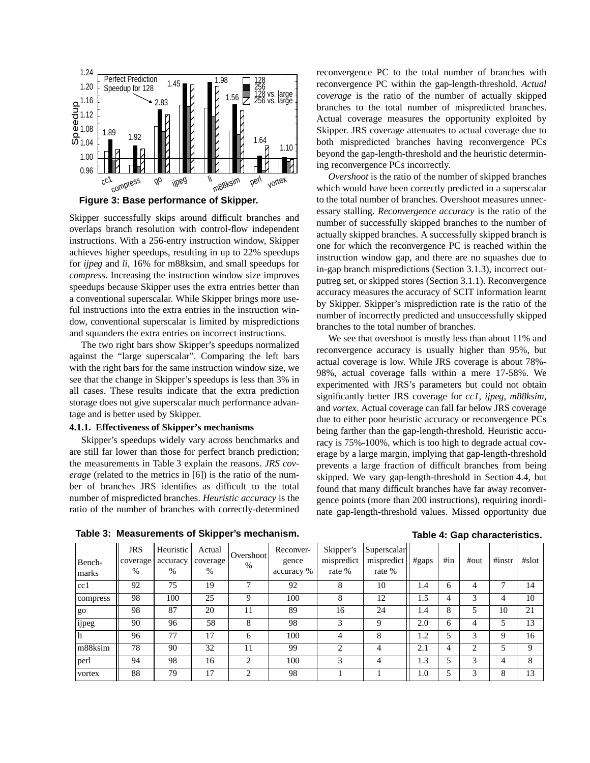

<span id="page-8-0"></span>Skipper successfully skips around difficult branches and overlaps branch resolution with control-flow independent instructions. With a 256-entry instruction window, Skipper achieves higher speedups, resulting in up to 22% speedups for *ijpeg* and *li,* 16% for m88ksim, and small speedups for *compress*. Increasing the instruction window size improves speedups because Skipper uses the extra entries better than a conventional superscalar. While Skipper brings more useful instructions into the extra entries in the instruction window, conventional superscalar is limited by mispredictions and squanders the extra entries on incorrect instructions.

The two right bars show Skipper's speedups normalized against the "large superscalar". Comparing the left bars with the right bars for the same instruction window size, we see that the change in Skipper's speedups is less than 3% in all cases. These results indicate that the extra prediction storage does not give superscalar much performance advantage and is better used by Skipper.

#### <span id="page-8-3"></span>**4.1.1. Effectiveness of Skipper's mechanisms**

Skipper's speedups widely vary across benchmarks and are still far lower than those for perfect branch prediction; the measurements in [Table 3](#page-8-1) explain the reasons. *JRS coverage* (related to the metrics in [6]) is the ratio of the number of branches JRS identifies as difficult to the total number of mispredicted branches. *Heuristic accuracy* is the ratio of the number of branches with correctly-determined

reconvergence PC to the total number of branches with reconvergence PC within the gap-length-threshold. *Actual coverage* is the ratio of the number of actually skipped branches to the total number of mispredicted branches. Actual coverage measures the opportunity exploited by Skipper. JRS coverage attenuates to actual coverage due to both mispredicted branches having reconvergence PCs beyond the gap-length-threshold and the heuristic determining reconvergence PCs incorrectly.

*Overshoot* is the ratio of the number of skipped branches which would have been correctly predicted in a superscalar to the total number of branches. Overshoot measures unnecessary stalling. *Reconvergence accuracy* is the ratio of the number of successfully skipped branches to the number of actually skipped branches. A successfully skipped branch is one for which the reconvergence PC is reached within the instruction window gap, and there are no squashes due to in-gap branch mispredictions ([Section 3.1.3](#page-4-0)), incorrect outputreg set, or skipped stores ([Section 3.1.1](#page-3-2)). Reconvergence accuracy measures the accuracy of SCIT information learnt by Skipper. Skipper's misprediction rate is the ratio of the number of incorrectly predicted and unsuccessfully skipped branches to the total number of branches.

We see that overshoot is mostly less than about 11% and reconvergence accuracy is usually higher than 95%, but actual coverage is low. While JRS coverage is about 78%- 98%, actual coverage falls within a mere 17-58%. We experimented with JRS's parameters but could not obtain significantly better JRS coverage for *cc1*, *ijpeg*, *m88ksim*, and *vortex*. Actual coverage can fall far below JRS coverage due to either poor heuristic accuracy or reconvergence PCs being farther than the gap-length-threshold. Heuristic accuracy is 75%-100%, which is too high to degrade actual coverage by a large margin, implying that gap-length-threshold prevents a large fraction of difficult branches from being skipped. We vary gap-length-threshold in [Section 4.4](#page-10-1), but found that many difficult branches have far away reconvergence points (more than 200 instructions), requiring inordinate gap-length-threshold values. Missed opportunity due

<span id="page-8-1"></span>**Table 3: Measurements of Skipper's mechanism.**

### <span id="page-8-2"></span>**Table 4: Gap characteristics.**

| Bench-<br>marks | JRS<br>coverage<br>$\%$ | Heuristic<br>accuracy<br>$\%$ | Actual<br>coverage<br>% | Overshoot<br>$\%$           | Reconver-<br>gence<br>accuracy % | Skipper's<br>mispredict<br>rate % | Superscalar<br>mispredict<br>rate % | $\#$ gaps | $\#$ in | $\#$ out       | $\#$ instr | #slot |
|-----------------|-------------------------|-------------------------------|-------------------------|-----------------------------|----------------------------------|-----------------------------------|-------------------------------------|-----------|---------|----------------|------------|-------|
| cc1             | 92                      | 75                            | 19                      |                             | 92                               | 8                                 | 10                                  | 1.4       | 6       | 4              | 7          | 14    |
| compress        | 98                      | 100                           | 25                      | 9                           | 100                              | 8                                 | 12                                  | 1.5       | 4       | 3              | 4          | 10    |
| go              | 98                      | 87                            | 20                      | 11                          | 89                               | 16                                | 24                                  | 1.4       | 8       | 5              | 10         | 21    |
| ijpeg           | 90                      | 96                            | 58                      | 8                           | 98                               | 3                                 | 9                                   | 2.0       | 6       | 4              | 5          | 13    |
| li              | 96                      | 77                            | 17                      | 6                           | 100                              | 4                                 | 8                                   | 1.2       | 5       | 3              | 9          | 16    |
| m88ksim         | 78                      | 90                            | 32                      | 11                          | 99                               | $\mathfrak{D}$                    | 4                                   | 2.1       | 4       | $\overline{c}$ |            | 9     |
| perl            | 94                      | 98                            | 16                      | 2                           | 100                              | 3                                 | 4                                   | 1.3       | 5       | 3              | 4          | 8     |
| vortex          | 88                      | 79                            | 17                      | $\mathcal{D}_{\mathcal{L}}$ | 98                               |                                   |                                     | 1.0       | 5       | 3              | 8          | 13    |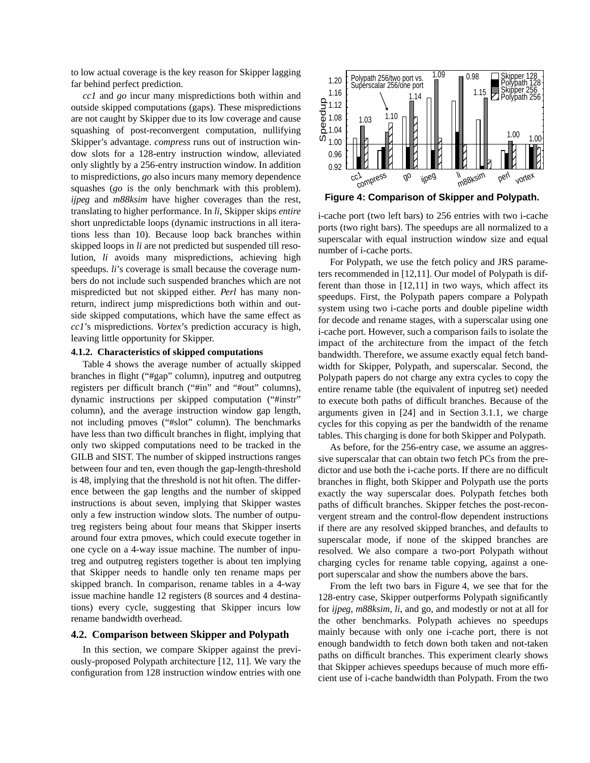to low actual coverage is the key reason for Skipper lagging far behind perfect prediction.

*cc1* and *go* incur many mispredictions both within and outside skipped computations (gaps). These mispredictions are not caught by Skipper due to its low coverage and cause squashing of post-reconvergent computation, nullifying Skipper's advantage. *compress* runs out of instruction window slots for a 128-entry instruction window, alleviated only slightly by a 256-entry instruction window. In addition to mispredictions, *go* also incurs many memory dependence squashes (*go* is the only benchmark with this problem). *ijpeg* and *m88ksim* have higher coverages than the rest, translating to higher performance. In *li*, Skipper skips *entire* short unpredictable loops (dynamic instructions in all iterations less than 10). Because loop back branches within skipped loops in *li* are not predicted but suspended till resolution, *li* avoids many mispredictions, achieving high speedups. *li*'s coverage is small because the coverage numbers do not include such suspended branches which are not mispredicted but not skipped either. *Perl* has many nonreturn, indirect jump mispredictions both within and outside skipped computations, which have the same effect as *cc1*'s mispredictions. *Vortex*'s prediction accuracy is high, leaving little opportunity for Skipper.

#### **4.1.2. Characteristics of skipped computations**

[Table 4](#page-8-2) shows the average number of actually skipped branches in flight ("#gap" column), inputreg and outputreg registers per difficult branch ("#in" and "#out" columns), dynamic instructions per skipped computation ("#instr" column), and the average instruction window gap length, not including pmoves ("#slot" column). The benchmarks have less than two difficult branches in flight, implying that only two skipped computations need to be tracked in the GILB and SIST. The number of skipped instructions ranges between four and ten, even though the gap-length-threshold is 48, implying that the threshold is not hit often. The difference between the gap lengths and the number of skipped instructions is about seven, implying that Skipper wastes only a few instruction window slots. The number of outputreg registers being about four means that Skipper inserts around four extra pmoves, which could execute together in one cycle on a 4-way issue machine. The number of inputreg and outputreg registers together is about ten implying that Skipper needs to handle only ten rename maps per skipped branch. In comparison, rename tables in a 4-way issue machine handle 12 registers (8 sources and 4 destinations) every cycle, suggesting that Skipper incurs low rename bandwidth overhead.

# **4.2. Comparison between Skipper and Polypath**

In this section, we compare Skipper against the previously-proposed Polypath architecture [12, 11]. We vary the configuration from 128 instruction window entries with one



<span id="page-9-0"></span>**Figure 4: Comparison of Skipper and Polypath.**

i-cache port (two left bars) to 256 entries with two i-cache ports (two right bars). The speedups are all normalized to a superscalar with equal instruction window size and equal number of i-cache ports.

For Polypath, we use the fetch policy and JRS parameters recommended in [12,11]. Our model of Polypath is different than those in [12,11] in two ways, which affect its speedups. First, the Polypath papers compare a Polypath system using two i-cache ports and double pipeline width for decode and rename stages, with a superscalar using one i-cache port. However, such a comparison fails to isolate the impact of the architecture from the impact of the fetch bandwidth. Therefore, we assume exactly equal fetch bandwidth for Skipper, Polypath, and superscalar. Second, the Polypath papers do not charge any extra cycles to copy the entire rename table (the equivalent of inputreg set) needed to execute both paths of difficult branches. Because of the arguments given in [24] and in [Section 3.1.1](#page-3-2), we charge cycles for this copying as per the bandwidth of the rename tables. This charging is done for both Skipper and Polypath.

As before, for the 256-entry case, we assume an aggressive superscalar that can obtain two fetch PCs from the predictor and use both the i-cache ports. If there are no difficult branches in flight, both Skipper and Polypath use the ports exactly the way superscalar does. Polypath fetches both paths of difficult branches. Skipper fetches the post-reconvergent stream and the control-flow dependent instructions if there are any resolved skipped branches, and defaults to superscalar mode, if none of the skipped branches are resolved. We also compare a two-port Polypath without charging cycles for rename table copying, against a oneport superscalar and show the numbers above the bars.

From the left two bars in [Figure 4,](#page-9-0) we see that for the 128-entry case, Skipper outperforms Polypath significantly for *ijpeg*, *m88ksim*, *li*, and go, and modestly or not at all for the other benchmarks. Polypath achieves no speedups mainly because with only one i-cache port, there is not enough bandwidth to fetch down both taken and not-taken paths on difficult branches. This experiment clearly shows that Skipper achieves speedups because of much more efficient use of i-cache bandwidth than Polypath. From the two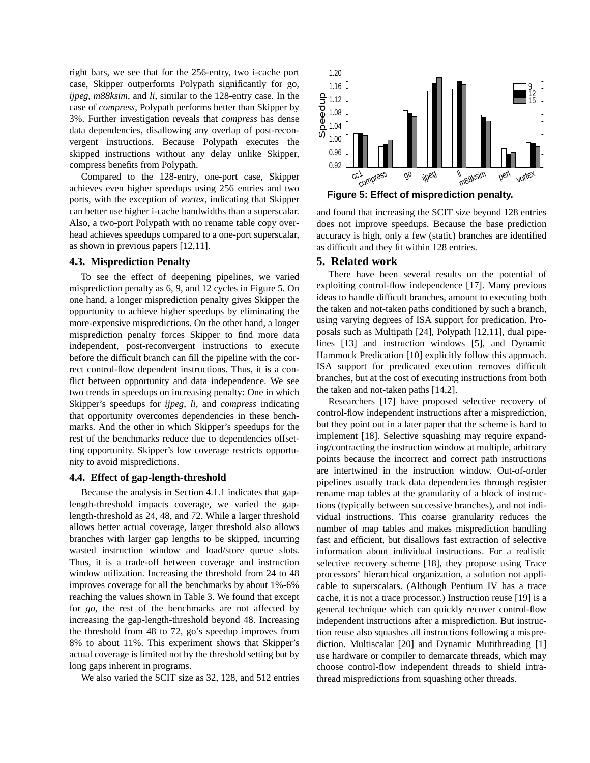right bars, we see that for the 256-entry, two i-cache port case, Skipper outperforms Polypath significantly for go, *ijpeg*, *m88ksim*, and *li*, similar to the 128-entry case. In the case of *compress*, Polypath performs better than Skipper by 3%. Further investigation reveals that *compress* has dense data dependencies, disallowing any overlap of post-reconvergent instructions. Because Polypath executes the skipped instructions without any delay unlike Skipper, compress benefits from Polypath.

Compared to the 128-entry, one-port case, Skipper achieves even higher speedups using 256 entries and two ports, with the exception of *vortex*, indicating that Skipper can better use higher i-cache bandwidths than a superscalar. Also, a two-port Polypath with no rename table copy overhead achieves speedups compared to a one-port superscalar, as shown in previous papers [12,11].

### **4.3. Misprediction Penalty**

To see the effect of deepening pipelines, we varied misprediction penalty as 6, 9, and 12 cycles in [Figure 5](#page-10-2). On one hand, a longer misprediction penalty gives Skipper the opportunity to achieve higher speedups by eliminating the more-expensive mispredictions. On the other hand, a longer misprediction penalty forces Skipper to find more data independent, post-reconvergent instructions to execute before the difficult branch can fill the pipeline with the correct control-flow dependent instructions. Thus, it is a conflict between opportunity and data independence. We see two trends in speedups on increasing penalty: One in which Skipper's speedups for *ijpeg*, *li*, and *compress* indicating that opportunity overcomes dependencies in these benchmarks. And the other in which Skipper's speedups for the rest of the benchmarks reduce due to dependencies offsetting opportunity. Skipper's low coverage restricts opportunity to avoid mispredictions.

#### <span id="page-10-1"></span>**4.4. Effect of gap-length-threshold**

Because the analysis in [Section 4.1.1](#page-8-3) indicates that gaplength-threshold impacts coverage, we varied the gaplength-threshold as 24, 48, and 72. While a larger threshold allows better actual coverage, larger threshold also allows branches with larger gap lengths to be skipped, incurring wasted instruction window and load/store queue slots. Thus, it is a trade-off between coverage and instruction window utilization. Increasing the threshold from 24 to 48 improves coverage for all the benchmarks by about 1%-6% reaching the values shown in [Table 3](#page-8-1). We found that except for *go*, the rest of the benchmarks are not affected by increasing the gap-length-threshold beyond 48. Increasing the threshold from 48 to 72, go's speedup improves from 8% to about 11%. This experiment shows that Skipper's actual coverage is limited not by the threshold setting but by long gaps inherent in programs.

We also varied the SCIT size as 32, 128, and 512 entries



<span id="page-10-2"></span>**Figure 5: Effect of misprediction penalty.**

and found that increasing the SCIT size beyond 128 entries does not improve speedups. Because the base prediction accuracy is high, only a few (static) branches are identified as difficult and they fit within 128 entries.

### <span id="page-10-0"></span>**5. Related work**

There have been several results on the potential of exploiting control-flow independence [17]. Many previous ideas to handle difficult branches, amount to executing both the taken and not-taken paths conditioned by such a branch, using varying degrees of ISA support for predication. Proposals such as Multipath [24], Polypath [12,11], dual pipelines [13] and instruction windows [5], and Dynamic Hammock Predication [10] explicitly follow this approach. ISA support for predicated execution removes difficult branches, but at the cost of executing instructions from both the taken and not-taken paths [14,2].

Researchers [17] have proposed selective recovery of control-flow independent instructions after a misprediction, but they point out in a later paper that the scheme is hard to implement [18]. Selective squashing may require expanding/contracting the instruction window at multiple, arbitrary points because the incorrect and correct path instructions are intertwined in the instruction window. Out-of-order pipelines usually track data dependencies through register rename map tables at the granularity of a block of instructions (typically between successive branches), and not individual instructions. This coarse granularity reduces the number of map tables and makes misprediction handling fast and efficient, but disallows fast extraction of selective information about individual instructions. For a realistic selective recovery scheme [18], they propose using Trace processors' hierarchical organization, a solution not applicable to superscalars. (Although Pentium IV has a trace cache, it is not a trace processor.) Instruction reuse [19] is a general technique which can quickly recover control-flow independent instructions after a misprediction. But instruction reuse also squashes all instructions following a misprediction. Multiscalar [20] and Dynamic Mutithreading [1] use hardware or compiler to demarcate threads, which may choose control-flow independent threads to shield intrathread mispredictions from squashing other threads.